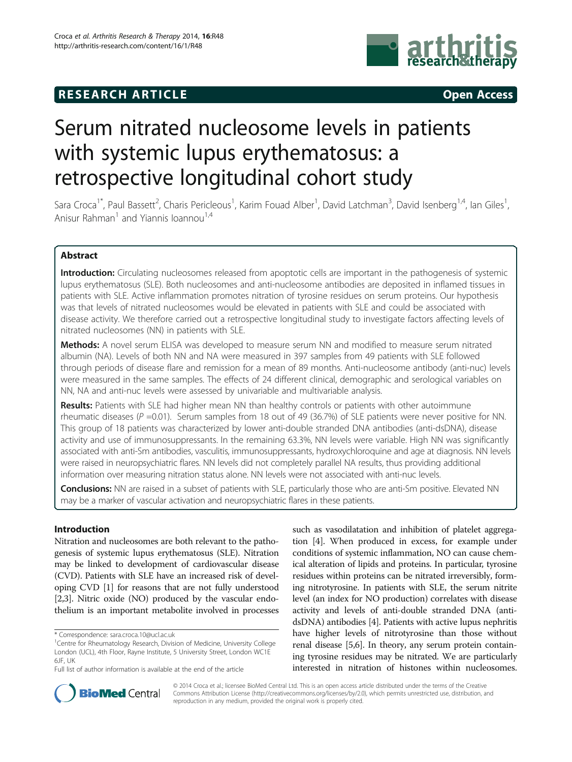# **RESEARCH ARTICLE Example 2014 12:30 The SEAR CH ACCESS**



# Serum nitrated nucleosome levels in patients with systemic lupus erythematosus: a retrospective longitudinal cohort study

Sara Croca<sup>1\*</sup>, Paul Bassett<sup>2</sup>, Charis Pericleous<sup>1</sup>, Karim Fouad Alber<sup>1</sup>, David Latchman<sup>3</sup>, David Isenberg<sup>1,4</sup>, Ian Giles<sup>1</sup> , Anisur Rahman<sup>1</sup> and Yiannis Ioannou<sup>1,4</sup>

# Abstract

Introduction: Circulating nucleosomes released from apoptotic cells are important in the pathogenesis of systemic lupus erythematosus (SLE). Both nucleosomes and anti-nucleosome antibodies are deposited in inflamed tissues in patients with SLE. Active inflammation promotes nitration of tyrosine residues on serum proteins. Our hypothesis was that levels of nitrated nucleosomes would be elevated in patients with SLE and could be associated with disease activity. We therefore carried out a retrospective longitudinal study to investigate factors affecting levels of nitrated nucleosomes (NN) in patients with SLE.

Methods: A novel serum ELISA was developed to measure serum NN and modified to measure serum nitrated albumin (NA). Levels of both NN and NA were measured in 397 samples from 49 patients with SLE followed through periods of disease flare and remission for a mean of 89 months. Anti-nucleosome antibody (anti-nuc) levels were measured in the same samples. The effects of 24 different clinical, demographic and serological variables on NN, NA and anti-nuc levels were assessed by univariable and multivariable analysis.

Results: Patients with SLE had higher mean NN than healthy controls or patients with other autoimmune rheumatic diseases ( $P = 0.01$ ). Serum samples from 18 out of 49 (36.7%) of SLE patients were never positive for NN. This group of 18 patients was characterized by lower anti-double stranded DNA antibodies (anti-dsDNA), disease activity and use of immunosuppressants. In the remaining 63.3%, NN levels were variable. High NN was significantly associated with anti-Sm antibodies, vasculitis, immunosuppressants, hydroxychloroquine and age at diagnosis. NN levels were raised in neuropsychiatric flares. NN levels did not completely parallel NA results, thus providing additional information over measuring nitration status alone. NN levels were not associated with anti-nuc levels.

**Conclusions:** NN are raised in a subset of patients with SLE, particularly those who are anti-Sm positive. Elevated NN may be a marker of vascular activation and neuropsychiatric flares in these patients.

# Introduction

Nitration and nucleosomes are both relevant to the pathogenesis of systemic lupus erythematosus (SLE). Nitration may be linked to development of cardiovascular disease (CVD). Patients with SLE have an increased risk of developing CVD [\[1](#page-9-0)] for reasons that are not fully understood [[2,3](#page-9-0)]. Nitric oxide (NO) produced by the vascular endothelium is an important metabolite involved in processes

such as vasodilatation and inhibition of platelet aggregation [[4](#page-9-0)]. When produced in excess, for example under conditions of systemic inflammation, NO can cause chemical alteration of lipids and proteins. In particular, tyrosine residues within proteins can be nitrated irreversibly, forming nitrotyrosine. In patients with SLE, the serum nitrite level (an index for NO production) correlates with disease activity and levels of anti-double stranded DNA (antidsDNA) antibodies [[4\]](#page-9-0). Patients with active lupus nephritis have higher levels of nitrotyrosine than those without renal disease [\[5,6\]](#page-9-0). In theory, any serum protein containing tyrosine residues may be nitrated. We are particularly interested in nitration of histones within nucleosomes.



© 2014 Croca et al.; licensee BioMed Central Ltd. This is an open access article distributed under the terms of the Creative Commons Attribution License [\(http://creativecommons.org/licenses/by/2.0\)](http://creativecommons.org/licenses/by/2.0), which permits unrestricted use, distribution, and reproduction in any medium, provided the original work is properly cited.

<sup>\*</sup> Correspondence: [sara.croca.10@ucl.ac.uk](mailto:sara.croca.10@ucl.ac.uk) <sup>1</sup>

Centre for Rheumatology Research, Division of Medicine, University College London (UCL), 4th Floor, Rayne Institute, 5 University Street, London WC1E 6JF, UK

Full list of author information is available at the end of the article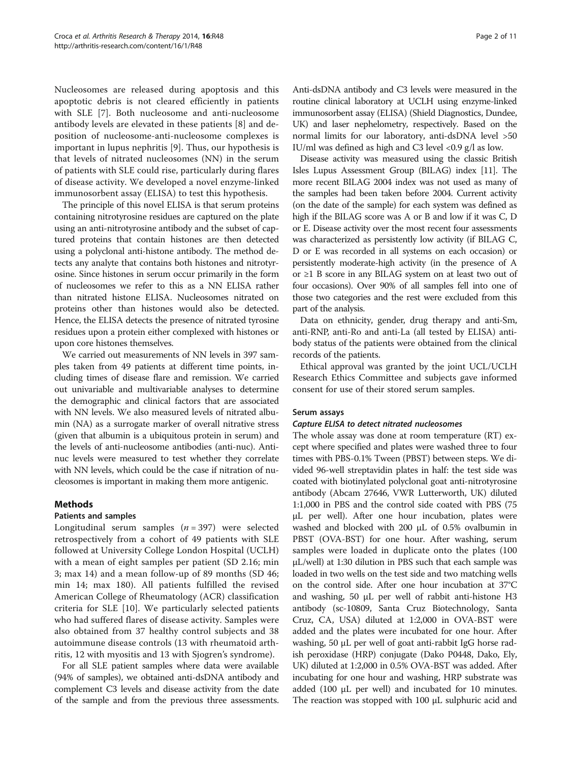Nucleosomes are released during apoptosis and this apoptotic debris is not cleared efficiently in patients with SLE [[7](#page-9-0)]. Both nucleosome and anti-nucleosome antibody levels are elevated in these patients [[8\]](#page-9-0) and deposition of nucleosome-anti-nucleosome complexes is important in lupus nephritis [[9](#page-10-0)]. Thus, our hypothesis is that levels of nitrated nucleosomes (NN) in the serum of patients with SLE could rise, particularly during flares of disease activity. We developed a novel enzyme-linked immunosorbent assay (ELISA) to test this hypothesis.

The principle of this novel ELISA is that serum proteins containing nitrotyrosine residues are captured on the plate using an anti-nitrotyrosine antibody and the subset of captured proteins that contain histones are then detected using a polyclonal anti-histone antibody. The method detects any analyte that contains both histones and nitrotyrosine. Since histones in serum occur primarily in the form of nucleosomes we refer to this as a NN ELISA rather than nitrated histone ELISA. Nucleosomes nitrated on proteins other than histones would also be detected. Hence, the ELISA detects the presence of nitrated tyrosine residues upon a protein either complexed with histones or upon core histones themselves.

We carried out measurements of NN levels in 397 samples taken from 49 patients at different time points, including times of disease flare and remission. We carried out univariable and multivariable analyses to determine the demographic and clinical factors that are associated with NN levels. We also measured levels of nitrated albumin (NA) as a surrogate marker of overall nitrative stress (given that albumin is a ubiquitous protein in serum) and the levels of anti-nucleosome antibodies (anti-nuc). Antinuc levels were measured to test whether they correlate with NN levels, which could be the case if nitration of nucleosomes is important in making them more antigenic.

# Methods

# Patients and samples

Longitudinal serum samples  $(n = 397)$  were selected retrospectively from a cohort of 49 patients with SLE followed at University College London Hospital (UCLH) with a mean of eight samples per patient (SD 2.16; min 3; max 14) and a mean follow-up of 89 months (SD 46; min 14; max 180). All patients fulfilled the revised American College of Rheumatology (ACR) classification criteria for SLE [\[10](#page-10-0)]. We particularly selected patients who had suffered flares of disease activity. Samples were also obtained from 37 healthy control subjects and 38 autoimmune disease controls (13 with rheumatoid arthritis, 12 with myositis and 13 with Sjogren's syndrome).

For all SLE patient samples where data were available (94% of samples), we obtained anti-dsDNA antibody and complement C3 levels and disease activity from the date of the sample and from the previous three assessments.

Anti-dsDNA antibody and C3 levels were measured in the routine clinical laboratory at UCLH using enzyme-linked immunosorbent assay (ELISA) (Shield Diagnostics, Dundee, UK) and laser nephelometry, respectively. Based on the normal limits for our laboratory, anti-dsDNA level >50 IU/ml was defined as high and C3 level <0.9 g/l as low.

Disease activity was measured using the classic British Isles Lupus Assessment Group (BILAG) index [[11](#page-10-0)]. The more recent BILAG 2004 index was not used as many of the samples had been taken before 2004. Current activity (on the date of the sample) for each system was defined as high if the BILAG score was A or B and low if it was C, D or E. Disease activity over the most recent four assessments was characterized as persistently low activity (if BILAG C, D or E was recorded in all systems on each occasion) or persistently moderate-high activity (in the presence of A or ≥1 B score in any BILAG system on at least two out of four occasions). Over 90% of all samples fell into one of those two categories and the rest were excluded from this part of the analysis.

Data on ethnicity, gender, drug therapy and anti-Sm, anti-RNP, anti-Ro and anti-La (all tested by ELISA) antibody status of the patients were obtained from the clinical records of the patients.

Ethical approval was granted by the joint UCL/UCLH Research Ethics Committee and subjects gave informed consent for use of their stored serum samples.

#### Serum assays

#### Capture ELISA to detect nitrated nucleosomes

The whole assay was done at room temperature (RT) except where specified and plates were washed three to four times with PBS-0.1% Tween (PBST) between steps. We divided 96-well streptavidin plates in half: the test side was coated with biotinylated polyclonal goat anti-nitrotyrosine antibody (Abcam 27646, VWR Lutterworth, UK) diluted 1:1,000 in PBS and the control side coated with PBS (75 μL per well). After one hour incubation, plates were washed and blocked with 200 μL of 0.5% ovalbumin in PBST (OVA-BST) for one hour. After washing, serum samples were loaded in duplicate onto the plates (100 μL/well) at 1:30 dilution in PBS such that each sample was loaded in two wells on the test side and two matching wells on the control side. After one hour incubation at 37°C and washing, 50 μL per well of rabbit anti-histone H3 antibody (sc-10809, Santa Cruz Biotechnology, Santa Cruz, CA, USA) diluted at 1:2,000 in OVA-BST were added and the plates were incubated for one hour. After washing, 50 μL per well of goat anti-rabbit IgG horse radish peroxidase (HRP) conjugate (Dako P0448, Dako, Ely, UK) diluted at 1:2,000 in 0.5% OVA-BST was added. After incubating for one hour and washing, HRP substrate was added (100 μL per well) and incubated for 10 minutes. The reaction was stopped with 100 μL sulphuric acid and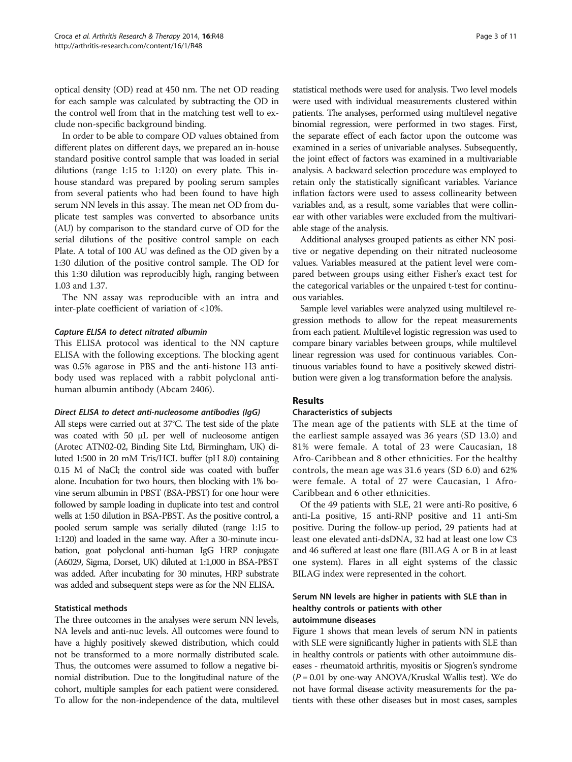optical density (OD) read at 450 nm. The net OD reading for each sample was calculated by subtracting the OD in the control well from that in the matching test well to exclude non-specific background binding.

In order to be able to compare OD values obtained from different plates on different days, we prepared an in-house standard positive control sample that was loaded in serial dilutions (range 1:15 to 1:120) on every plate. This inhouse standard was prepared by pooling serum samples from several patients who had been found to have high serum NN levels in this assay. The mean net OD from duplicate test samples was converted to absorbance units (AU) by comparison to the standard curve of OD for the serial dilutions of the positive control sample on each Plate. A total of 100 AU was defined as the OD given by a 1:30 dilution of the positive control sample. The OD for this 1:30 dilution was reproducibly high, ranging between 1.03 and 1.37.

The NN assay was reproducible with an intra and inter-plate coefficient of variation of <10%.

#### Capture ELISA to detect nitrated albumin

This ELISA protocol was identical to the NN capture ELISA with the following exceptions. The blocking agent was 0.5% agarose in PBS and the anti-histone H3 antibody used was replaced with a rabbit polyclonal antihuman albumin antibody (Abcam 2406).

#### Direct ELISA to detect anti-nucleosome antibodies (IgG)

All steps were carried out at 37°C. The test side of the plate was coated with 50 μL per well of nucleosome antigen (Arotec ATN02-02, Binding Site Ltd, Birmingham, UK) diluted 1:500 in 20 mM Tris/HCL buffer (pH 8.0) containing 0.15 M of NaCl; the control side was coated with buffer alone. Incubation for two hours, then blocking with 1% bovine serum albumin in PBST (BSA-PBST) for one hour were followed by sample loading in duplicate into test and control wells at 1:50 dilution in BSA-PBST. As the positive control, a pooled serum sample was serially diluted (range 1:15 to 1:120) and loaded in the same way. After a 30-minute incubation, goat polyclonal anti-human IgG HRP conjugate (A6029, Sigma, Dorset, UK) diluted at 1:1,000 in BSA-PBST was added. After incubating for 30 minutes, HRP substrate was added and subsequent steps were as for the NN ELISA.

#### Statistical methods

The three outcomes in the analyses were serum NN levels, NA levels and anti-nuc levels. All outcomes were found to have a highly positively skewed distribution, which could not be transformed to a more normally distributed scale. Thus, the outcomes were assumed to follow a negative binomial distribution. Due to the longitudinal nature of the cohort, multiple samples for each patient were considered. To allow for the non-independence of the data, multilevel statistical methods were used for analysis. Two level models were used with individual measurements clustered within patients. The analyses, performed using multilevel negative binomial regression, were performed in two stages. First, the separate effect of each factor upon the outcome was examined in a series of univariable analyses. Subsequently, the joint effect of factors was examined in a multivariable analysis. A backward selection procedure was employed to retain only the statistically significant variables. Variance inflation factors were used to assess collinearity between variables and, as a result, some variables that were collinear with other variables were excluded from the multivariable stage of the analysis.

Additional analyses grouped patients as either NN positive or negative depending on their nitrated nucleosome values. Variables measured at the patient level were compared between groups using either Fisher's exact test for the categorical variables or the unpaired t-test for continuous variables.

Sample level variables were analyzed using multilevel regression methods to allow for the repeat measurements from each patient. Multilevel logistic regression was used to compare binary variables between groups, while multilevel linear regression was used for continuous variables. Continuous variables found to have a positively skewed distribution were given a log transformation before the analysis.

# Results

# Characteristics of subjects

The mean age of the patients with SLE at the time of the earliest sample assayed was 36 years (SD 13.0) and 81% were female. A total of 23 were Caucasian, 18 Afro-Caribbean and 8 other ethnicities. For the healthy controls, the mean age was 31.6 years (SD 6.0) and 62% were female. A total of 27 were Caucasian, 1 Afro-Caribbean and 6 other ethnicities.

Of the 49 patients with SLE, 21 were anti-Ro positive, 6 anti-La positive, 15 anti-RNP positive and 11 anti-Sm positive. During the follow-up period, 29 patients had at least one elevated anti-dsDNA, 32 had at least one low C3 and 46 suffered at least one flare (BILAG A or B in at least one system). Flares in all eight systems of the classic BILAG index were represented in the cohort.

# Serum NN levels are higher in patients with SLE than in healthy controls or patients with other autoimmune diseases

Figure [1](#page-3-0) shows that mean levels of serum NN in patients with SLE were significantly higher in patients with SLE than in healthy controls or patients with other autoimmune diseases - rheumatoid arthritis, myositis or Sjogren's syndrome  $(P = 0.01$  by one-way ANOVA/Kruskal Wallis test). We do not have formal disease activity measurements for the patients with these other diseases but in most cases, samples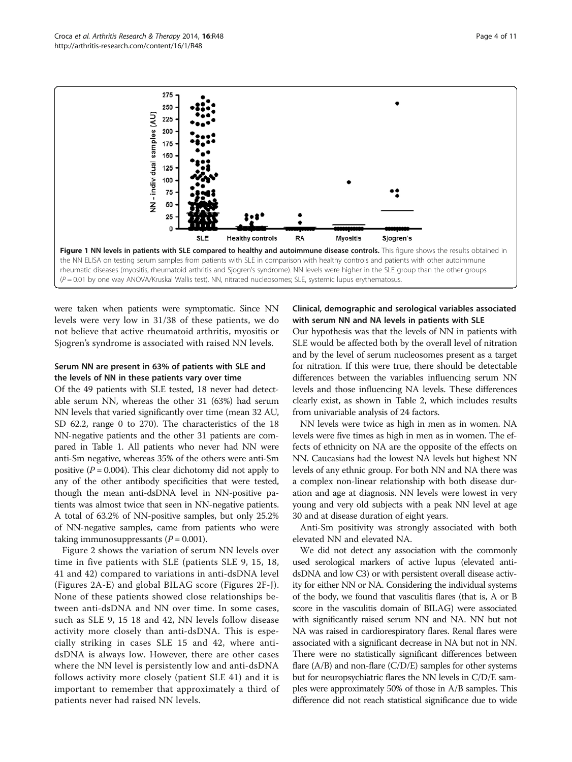<span id="page-3-0"></span>

were taken when patients were symptomatic. Since NN levels were very low in 31/38 of these patients, we do not believe that active rheumatoid arthritis, myositis or Sjogren's syndrome is associated with raised NN levels.

# Serum NN are present in 63% of patients with SLE and the levels of NN in these patients vary over time

Of the 49 patients with SLE tested, 18 never had detectable serum NN, whereas the other 31 (63%) had serum NN levels that varied significantly over time (mean 32 AU, SD 62.2, range 0 to 270). The characteristics of the 18 NN-negative patients and the other 31 patients are compared in Table [1.](#page-4-0) All patients who never had NN were anti-Sm negative, whereas 35% of the others were anti-Sm positive  $(P = 0.004)$ . This clear dichotomy did not apply to any of the other antibody specificities that were tested, though the mean anti-dsDNA level in NN-positive patients was almost twice that seen in NN-negative patients. A total of 63.2% of NN-positive samples, but only 25.2% of NN-negative samples, came from patients who were taking immunosuppressants  $(P = 0.001)$ .

Figure [2](#page-5-0) shows the variation of serum NN levels over time in five patients with SLE (patients SLE 9, 15, 18, 41 and 42) compared to variations in anti-dsDNA level (Figures [2](#page-5-0)A-E) and global BILAG score (Figures [2F](#page-5-0)-J). None of these patients showed close relationships between anti-dsDNA and NN over time. In some cases, such as SLE 9, 15 18 and 42, NN levels follow disease activity more closely than anti-dsDNA. This is especially striking in cases SLE 15 and 42, where antidsDNA is always low. However, there are other cases where the NN level is persistently low and anti-dsDNA follows activity more closely (patient SLE 41) and it is important to remember that approximately a third of patients never had raised NN levels.

# Clinical, demographic and serological variables associated with serum NN and NA levels in patients with SLE

Our hypothesis was that the levels of NN in patients with SLE would be affected both by the overall level of nitration and by the level of serum nucleosomes present as a target for nitration. If this were true, there should be detectable differences between the variables influencing serum NN levels and those influencing NA levels. These differences clearly exist, as shown in Table [2](#page-6-0), which includes results from univariable analysis of 24 factors.

NN levels were twice as high in men as in women. NA levels were five times as high in men as in women. The effects of ethnicity on NA are the opposite of the effects on NN. Caucasians had the lowest NA levels but highest NN levels of any ethnic group. For both NN and NA there was a complex non-linear relationship with both disease duration and age at diagnosis. NN levels were lowest in very young and very old subjects with a peak NN level at age 30 and at disease duration of eight years.

Anti-Sm positivity was strongly associated with both elevated NN and elevated NA.

We did not detect any association with the commonly used serological markers of active lupus (elevated antidsDNA and low C3) or with persistent overall disease activity for either NN or NA. Considering the individual systems of the body, we found that vasculitis flares (that is, A or B score in the vasculitis domain of BILAG) were associated with significantly raised serum NN and NA. NN but not NA was raised in cardiorespiratory flares. Renal flares were associated with a significant decrease in NA but not in NN. There were no statistically significant differences between flare  $(A/B)$  and non-flare  $(C/D/E)$  samples for other systems but for neuropsychiatric flares the NN levels in C/D/E samples were approximately 50% of those in A/B samples. This difference did not reach statistical significance due to wide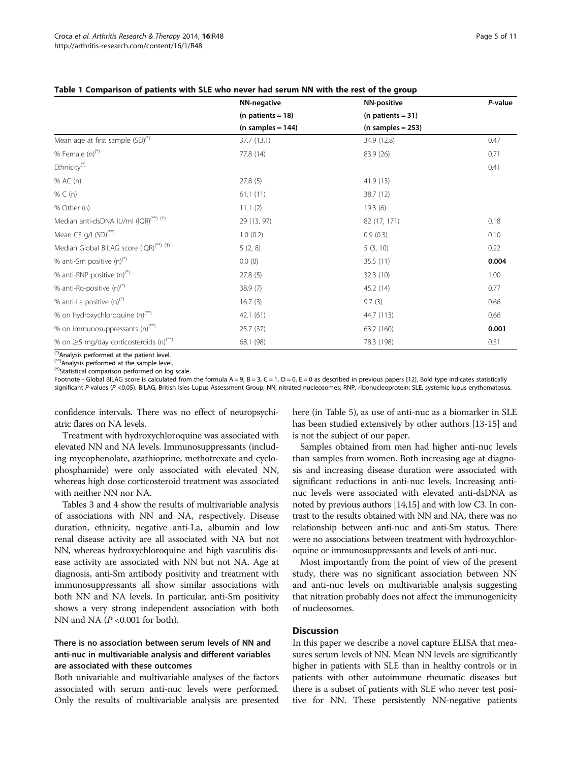|                                                                 | NN-negative          | NN-positive          | P-value |
|-----------------------------------------------------------------|----------------------|----------------------|---------|
|                                                                 | (n patients = $18$ ) | (n patients = $31$ ) |         |
|                                                                 | (n samples $= 144$ ) | $(n$ samples = 253)  |         |
| Mean age at first sample (SD) <sup>(*)</sup>                    | 37.7(13.1)           | 34.9 (12.8)          | 0.47    |
| % Female $(n)$ <sup>(*)</sup>                                   | 77.8 (14)            | 83.9 (26)            | 0.71    |
| Ethnicity <sup>(*)</sup>                                        |                      |                      | 0.41    |
| % AC (n)                                                        | 27.8(5)              | 41.9(13)             |         |
| % $C(n)$                                                        | 61.1(11)             | 38.7 (12)            |         |
| % Other (n)                                                     | 11.1(2)              | 19.3(6)              |         |
| Median anti-dsDNA IU/ml (IQR) <sup>(**)</sup> ( <sup>†)</sup>   | 29 (13, 97)          | 82 (17, 171)         | 0.18    |
| Mean C3 g/l $(SD)$ <sup>(**)</sup>                              | 1.0(0.2)             | 0.9(0.3)             | 0.10    |
| Median Global BILAG score (IQR) <sup>(**)</sup> ( <sup>†)</sup> | 5(2, 8)              | 5(3, 10)             | 0.22    |
| % anti-Sm positive (n) <sup>(*)</sup>                           | 0.0(0)               | 35.5(11)             | 0.004   |
| % anti-RNP positive (n) <sup>(*)</sup>                          | 27.8(5)              | 32.3(10)             | 1.00    |
| % anti-Ro-positive (n) <sup>(*)</sup>                           | 38.9(7)              | 45.2 (14)            | 0.77    |
| % anti-La positive (n) <sup>(*)</sup>                           | 16.7(3)              | 9.7(3)               | 0.66    |
| % on hydroxychloroquine (n) <sup>(**)</sup>                     | 42.1 (61)            | 44.7 (113)           | 0.66    |
| % on immunosuppressants (n) <sup>(**)</sup>                     | 25.7(37)             | 63.2 (160)           | 0.001   |
| % on $\geq$ 5 mg/day corticosteroids (n) <sup>(**)</sup>        | 68.1 (98)            | 78.3 (198)           | 0.31    |

#### <span id="page-4-0"></span>Table 1 Comparison of patients with SLE who never had serum NN with the rest of the group

 $\overline{(*)}$ Analysis performed at the patient level.

 $(***)$ Analysis performed at the sample level.

Statistical comparison performed on log scale.

Footnote - Global BILAG score is calculated from the formula A = 9, B = 3, C = 1, D = 0, E = 0 as described in previous papers [[12](#page-10-0)]. Bold type indicates statistically significant P-values (P <0.05). BILAG, British Isles Lupus Assessment Group; NN, nitrated nucleosomes; RNP, ribonucleoprotein; SLE, systemic lupus erythematosus.

confidence intervals. There was no effect of neuropsychiatric flares on NA levels.

Treatment with hydroxychloroquine was associated with elevated NN and NA levels. Immunosuppressants (including mycophenolate, azathioprine, methotrexate and cyclophosphamide) were only associated with elevated NN, whereas high dose corticosteroid treatment was associated with neither NN nor NA.

Tables [3](#page-7-0) and [4](#page-7-0) show the results of multivariable analysis of associations with NN and NA, respectively. Disease duration, ethnicity, negative anti-La, albumin and low renal disease activity are all associated with NA but not NN, whereas hydroxychloroquine and high vasculitis disease activity are associated with NN but not NA. Age at diagnosis, anti-Sm antibody positivity and treatment with immunosuppressants all show similar associations with both NN and NA levels. In particular, anti-Sm positivity shows a very strong independent association with both NN and NA  $(P<0.001$  for both).

# There is no association between serum levels of NN and anti-nuc in multivariable analysis and different variables are associated with these outcomes

Both univariable and multivariable analyses of the factors associated with serum anti-nuc levels were performed. Only the results of multivariable analysis are presented

here (in Table [5](#page-8-0)), as use of anti-nuc as a biomarker in SLE has been studied extensively by other authors [[13-15\]](#page-10-0) and is not the subject of our paper.

Samples obtained from men had higher anti-nuc levels than samples from women. Both increasing age at diagnosis and increasing disease duration were associated with significant reductions in anti-nuc levels. Increasing antinuc levels were associated with elevated anti-dsDNA as noted by previous authors [\[14,15\]](#page-10-0) and with low C3. In contrast to the results obtained with NN and NA, there was no relationship between anti-nuc and anti-Sm status. There were no associations between treatment with hydroxychloroquine or immunosuppressants and levels of anti-nuc.

Most importantly from the point of view of the present study, there was no significant association between NN and anti-nuc levels on multivariable analysis suggesting that nitration probably does not affect the immunogenicity of nucleosomes.

# **Discussion**

In this paper we describe a novel capture ELISA that measures serum levels of NN. Mean NN levels are significantly higher in patients with SLE than in healthy controls or in patients with other autoimmune rheumatic diseases but there is a subset of patients with SLE who never test positive for NN. These persistently NN-negative patients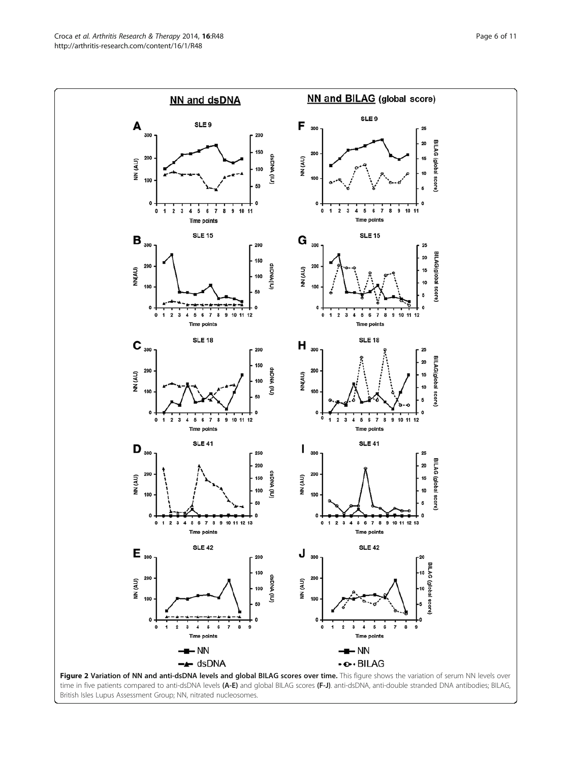<span id="page-5-0"></span>

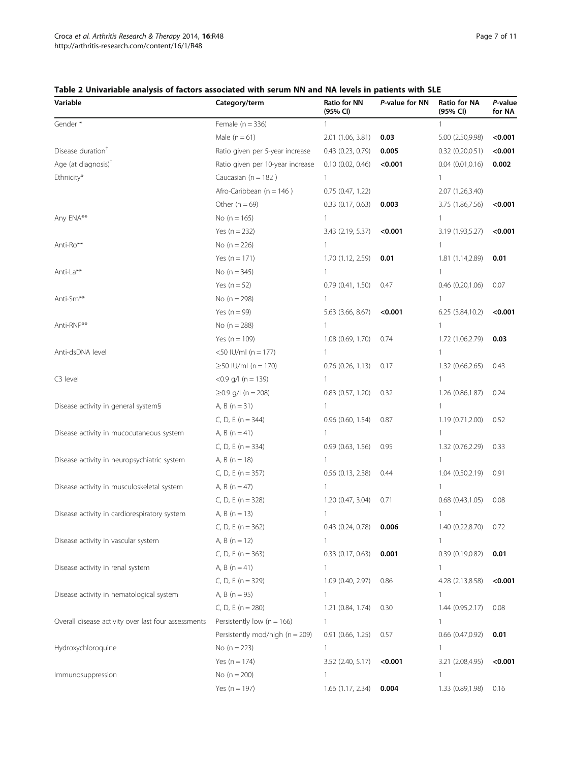# <span id="page-6-0"></span>Table 2 Univariable analysis of factors associated with serum NN and NA levels in patients with SLE

| Variable                                            | Category/term                       | <b>Ratio for NN</b><br>(95% CI) | P-value for NN | <b>Ratio for NA</b><br>(95% CI) | P-value<br>for NA |
|-----------------------------------------------------|-------------------------------------|---------------------------------|----------------|---------------------------------|-------------------|
| Gender*                                             | Female $(n = 336)$                  | 1                               |                | 1                               |                   |
|                                                     | Male $(n = 61)$                     | 2.01 (1.06, 3.81)               | 0.03           | 5.00 (2.50,9.98)                | < 0.001           |
| Disease duration $†$                                | Ratio given per 5-year increase     | $0.43$ $(0.23, 0.79)$           | 0.005          | $0.32$ (0.20,0.51)              | < 0.001           |
| Age (at diagnosis) <sup>†</sup>                     | Ratio given per 10-year increase    | $0.10$ $(0.02, 0.46)$           | < 0.001        | $0.04$ $(0.01, 0.16)$           | 0.002             |
| Ethnicity*                                          | Caucasian ( $n = 182$ )             | 1                               |                | $\mathbf{1}$                    |                   |
|                                                     | Afro-Caribbean $(n = 146)$          | $0.75$ $(0.47, 1.22)$           |                | 2.07 (1.26,3.40)                |                   |
|                                                     | Other $(n = 69)$                    | 0.33(0.17, 0.63)                | 0.003          | 3.75 (1.86,7.56)                | < 0.001           |
| Any ENA**                                           | No $(n = 165)$                      | 1                               |                | $\mathbf{1}$                    |                   |
|                                                     | Yes ( $n = 232$ )                   | 3.43 (2.19, 5.37)               | < 0.001        | 3.19 (1.93,5.27)                | < 0.001           |
| Anti-Ro**                                           | No $(n = 226)$                      | 1                               |                | $\mathbf{1}$                    |                   |
|                                                     | Yes ( $n = 171$ )                   | 1.70 (1.12, 2.59)               | 0.01           | 1.81 (1.14,2.89)                | 0.01              |
| Anti-La**                                           | No $(n = 345)$                      | 1                               |                | $\mathbf{1}$                    |                   |
|                                                     | Yes $(n = 52)$                      | 0.79(0.41, 1.50)                | 0.47           | 0.46(0.20,1.06)                 | 0.07              |
| Anti-Sm**                                           | No $(n = 298)$                      | 1                               |                | $\mathbf{1}$                    |                   |
|                                                     | Yes $(n = 99)$                      | 5.63 (3.66, 8.67)               | < 0.001        | 6.25 (3.84,10.2)                | < 0.001           |
| Anti-RNP**                                          | No $(n = 288)$                      | 1                               |                | $\mathbf{1}$                    |                   |
|                                                     | Yes ( $n = 109$ )                   | 1.08 (0.69, 1.70)               | 0.74           | 1.72 (1.06,2.79)                | 0.03              |
| Anti-dsDNA level                                    | $<$ 50 IU/ml (n = 177)              | 1                               |                | $\mathbf{1}$                    |                   |
|                                                     | $≥50$ IU/ml (n = 170)               | $0.76$ (0.26, 1.13)             | 0.17           | 1.32(0.66, 2.65)                | 0.43              |
| C3 level                                            | $<$ 0.9 g/l (n = 139)               | 1                               |                | $\mathbf{1}$                    |                   |
|                                                     | $\geq$ 0.9 g/l (n = 208)            | $0.83$ $(0.57, 1.20)$           | 0.32           | 1.26 (0.86,1.87)                | 0.24              |
| Disease activity in general system§                 | A, B $(n = 31)$                     | 1                               |                | $\mathbf{1}$                    |                   |
|                                                     | C, D, E ( $n = 344$ )               | $0.96$ $(0.60, 1.54)$           | 0.87           | 1.19 (0.71,2.00)                | 0.52              |
| Disease activity in mucocutaneous system            | A, B $(n = 41)$                     | 1                               |                | $\mathbf{1}$                    |                   |
|                                                     | C, D, E ( $n = 334$ )               | 0.99(0.63, 1.56)                | 0.95           | 1.32 (0.76,2.29)                | 0.33              |
| Disease activity in neuropsychiatric system         | A, B $(n = 18)$                     | 1                               |                | $\mathbf{1}$                    |                   |
|                                                     | C, D, E ( $n = 357$ )               | $0.56$ $(0.13, 2.38)$           | 0.44           | 1.04 (0.50,2.19)                | 0.91              |
| Disease activity in musculoskeletal system          | A, B $(n = 47)$                     | 1                               |                | $\mathbf{1}$                    |                   |
|                                                     | C, D, E ( $n = 328$ )               | 1.20 (0.47, 3.04)               | 0.71           | $0.68$ $(0.43, 1.05)$           | 0.08              |
| Disease activity in cardiorespiratory system        | $A, B (n = 13)$                     | 1                               |                | $\mathbf{1}$                    |                   |
|                                                     | C, D, E ( $n = 362$ )               | 0.43 (0.24, 0.78)               | 0.006          | 1.40 (0.22,8.70) 0.72           |                   |
| Disease activity in vascular system                 | A, B $(n = 12)$                     | 1                               |                | $\mathbf{1}$                    |                   |
|                                                     | C, D, E ( $n = 363$ )               | $0.33$ $(0.17, 0.63)$           | 0.001          | 0.39 (0.19,0.82)                | 0.01              |
| Disease activity in renal system                    | A, B $(n = 41)$                     | 1                               |                | $\mathbf{1}$                    |                   |
|                                                     | C, D, E ( $n = 329$ )               | 1.09 (0.40, 2.97)               | 0.86           | 4.28 (2.13,8.58)                | < 0.001           |
| Disease activity in hematological system            | A, B $(n = 95)$                     |                                 |                | $\mathbf{1}$                    |                   |
|                                                     | C, D, E ( $n = 280$ )               | 1.21 (0.84, 1.74)               | 0.30           | 1.44(0.95,2.17)                 | 0.08              |
| Overall disease activity over last four assessments | Persistently low ( $n = 166$ )      | 1                               |                | $\mathbf{1}$                    |                   |
|                                                     | Persistently mod/high ( $n = 209$ ) | $0.91$ $(0.66, 1.25)$           | 0.57           | 0.66 (0.47,0.92)                | 0.01              |
| Hydroxychloroquine                                  | No $(n = 223)$                      | 1                               |                | $\mathbf{1}$                    |                   |
|                                                     | Yes ( $n = 174$ )                   | 3.52 (2.40, 5.17)               | < 0.001        | 3.21 (2.08,4.95)                | < 0.001           |
| Immunosuppression                                   | No $(n = 200)$                      |                                 |                | 1                               |                   |
|                                                     | Yes ( $n = 197$ )                   | $1.66$ (1.17, 2.34)             | 0.004          | 1.33 (0.89,1.98)                | 0.16              |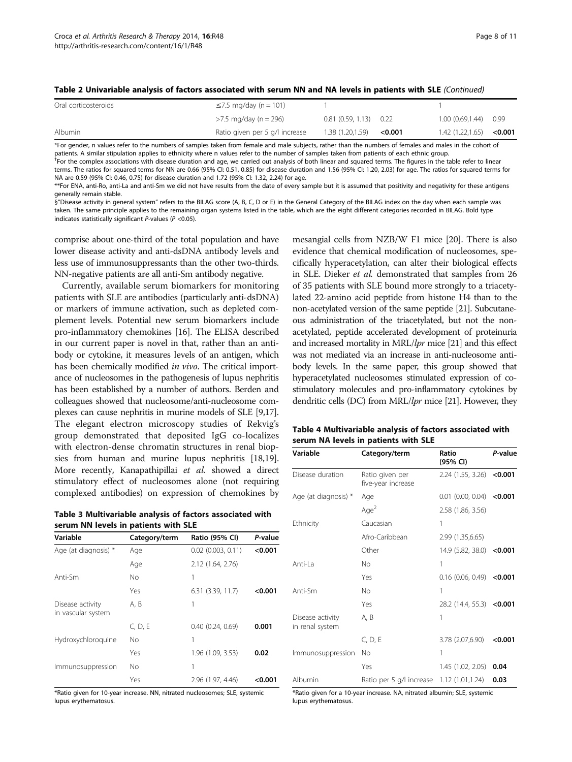| Oral corticosteroids | ≤7.5 mg/day (n = 101)          |                         |         |                      |         |
|----------------------|--------------------------------|-------------------------|---------|----------------------|---------|
|                      | >7.5 mg/day (n = 296)          | $0.81(0.59, 1.13)$ 0.22 |         | 1.00(0.69, 1.44)0.99 |         |
| Albumin              | Ratio given per 5 g/l increase | 1.38(1.20, 1.59)        | < 0.001 | 1.42(1.22, 1.65)     | < 0.001 |

#### <span id="page-7-0"></span>Table 2 Univariable analysis of factors associated with serum NN and NA levels in patients with SLE (Continued)

\*For gender, n values refer to the numbers of samples taken from female and male subjects, rather than the numbers of females and males in the cohort of patients. A similar stipulation applies to ethnicity where n values refer to the number of samples taken from patients of each ethnic group. <sup>†</sup>For the complex associations with disease duration and age, we carried out analysis of both linear and squared terms. The figures in the table refer to linear

terms. The ratios for squared terms for NN are 0.66 (95% CI: 0.51, 0.85) for disease duration and 1.56 (95% CI: 1.20, 2.03) for age. The ratios for squared terms for NA are 0.59 (95% CI: 0.46, 0.75) for disease duration and 1.72 (95% CI: 1.32, 2.24) for age.

\*\*For ENA, anti-Ro, anti-La and anti-Sm we did not have results from the date of every sample but it is assumed that positivity and negativity for these antigens generally remain stable.

§"Disease activity in general system" refers to the BILAG score (A, B, C, D or E) in the General Category of the BILAG index on the day when each sample was taken. The same principle applies to the remaining organ systems listed in the table, which are the eight different categories recorded in BILAG. Bold type indicates statistically significant  $P$ -values ( $P$  <0.05).

comprise about one-third of the total population and have lower disease activity and anti-dsDNA antibody levels and less use of immunosuppressants than the other two-thirds. NN-negative patients are all anti-Sm antibody negative.

Currently, available serum biomarkers for monitoring patients with SLE are antibodies (particularly anti-dsDNA) or markers of immune activation, such as depleted complement levels. Potential new serum biomarkers include pro-inflammatory chemokines [\[16](#page-10-0)]. The ELISA described in our current paper is novel in that, rather than an antibody or cytokine, it measures levels of an antigen, which has been chemically modified in vivo. The critical importance of nucleosomes in the pathogenesis of lupus nephritis has been established by a number of authors. Berden and colleagues showed that nucleosome/anti-nucleosome complexes can cause nephritis in murine models of SLE [\[9,17](#page-10-0)]. The elegant electron microscopy studies of Rekvig's group demonstrated that deposited IgG co-localizes with electron-dense chromatin structures in renal biopsies from human and murine lupus nephritis [\[18,19](#page-10-0)]. More recently, Kanapathipillai et al. showed a direct stimulatory effect of nucleosomes alone (not requiring complexed antibodies) on expression of chemokines by

| Table 3 Multivariable analysis of factors associated with |  |
|-----------------------------------------------------------|--|
| serum NN levels in patients with SLE                      |  |

| Variable                               | Category/term | Ratio (95% CI)        | P-value |
|----------------------------------------|---------------|-----------------------|---------|
| Age (at diagnosis) *                   | Age           | $0.02$ (0.003, 0.11)  | < 0.001 |
|                                        | Age           | 2.12 (1.64, 2.76)     |         |
| Anti-Sm                                | No            |                       |         |
|                                        | Yes           | $6.31$ $(3.39, 11.7)$ | < 0.001 |
| Disease activity<br>in vascular system | A.B           | 1                     |         |
|                                        | C, D, E       | 0.40(0.24, 0.69)      | 0.001   |
| Hydroxychloroquine                     | Nο            |                       |         |
|                                        | Yes           | 1.96 (1.09, 3.53)     | 0.02    |
| Immunosuppression                      | Nο            |                       |         |
|                                        | Yes           | 2.96 (1.97, 4.46)     | <0.001  |

\*Ratio given for 10-year increase. NN, nitrated nucleosomes; SLE, systemic lupus erythematosus.

mesangial cells from NZB/W F1 mice [\[20](#page-10-0)]. There is also evidence that chemical modification of nucleosomes, specifically hyperacetylation, can alter their biological effects in SLE. Dieker et al. demonstrated that samples from 26 of 35 patients with SLE bound more strongly to a triacetylated 22-amino acid peptide from histone H4 than to the non-acetylated version of the same peptide [\[21\]](#page-10-0). Subcutaneous administration of the triacetylated, but not the nonacetylated, peptide accelerated development of proteinuria and increased mortality in MRL/lpr mice [\[21\]](#page-10-0) and this effect was not mediated via an increase in anti-nucleosome antibody levels. In the same paper, this group showed that hyperacetylated nucleosomes stimulated expression of costimulatory molecules and pro-inflammatory cytokines by dendritic cells (DC) from MRL/lpr mice [\[21\]](#page-10-0). However, they

| Table 4 Multivariable analysis of factors associated with |  |
|-----------------------------------------------------------|--|
| serum NA levels in patients with SLE                      |  |

| Variable                            | Category/term                         | Ratio<br>(95% CI)          | P-value |
|-------------------------------------|---------------------------------------|----------------------------|---------|
| Disease duration                    | Ratio given per<br>five-year increase | 2.24(1.55, 3.26)           | < 0.001 |
| Age (at diagnosis) *                | Age                                   | $0.01$ (0.00, 0.04) <0.001 |         |
|                                     | Age <sup>2</sup>                      | 2.58 (1.86, 3.56)          |         |
| Ethnicity                           | Caucasian                             | 1                          |         |
|                                     | Afro-Caribbean                        | 2.99 (1.35,6.65)           |         |
|                                     | Other                                 | 14.9 (5.82, 38.0) <0.001   |         |
| Anti-l a                            | No                                    | 1                          |         |
|                                     | Yes                                   | $0.16$ (0.06, 0.49) <0.001 |         |
| Anti-Sm                             | No.                                   | 1                          |         |
|                                     | Yes                                   | 28.2 (14.4, 55.3) <0.001   |         |
| Disease activity<br>in renal system | A, B                                  | 1                          |         |
|                                     | C, D, E                               | 3.78 (2.07,6.90)           | < 0.001 |
| Immunosuppression                   | Nο                                    | 1                          |         |
|                                     | Yes                                   | 1.45 (1.02, 2.05)          | 0.04    |
| Albumin                             | Ratio per 5 g/l increase              | 1.12 (1.01,1.24)           | 0.03    |

\*Ratio given for a 10-year increase. NA, nitrated albumin; SLE, systemic lupus erythematosus.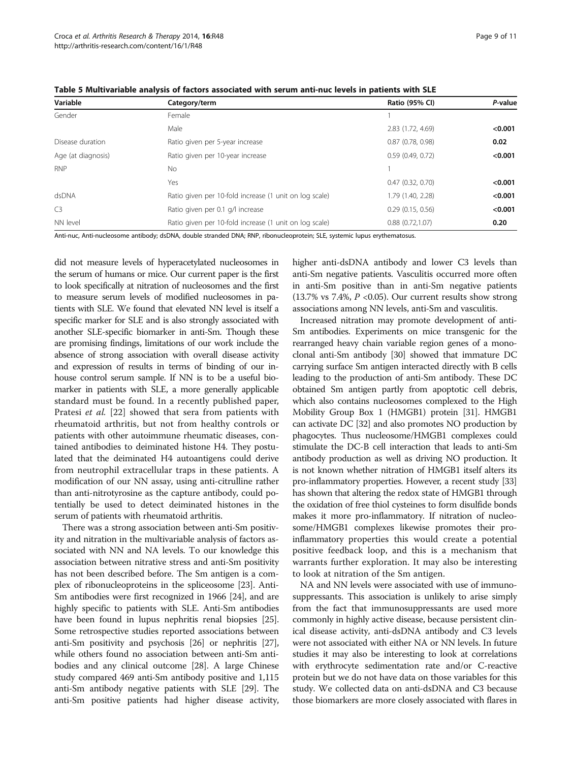| Variable           | Category/term                                          | Ratio (95% CI)      | P-value |
|--------------------|--------------------------------------------------------|---------------------|---------|
| Gender             | Female                                                 |                     |         |
|                    | Male                                                   | 2.83 (1.72, 4.69)   | < 0.001 |
| Disease duration   | Ratio given per 5-year increase                        | $0.87$ (0.78, 0.98) | 0.02    |
| Age (at diagnosis) | Ratio given per 10-year increase                       | 0.59(0.49, 0.72)    | < 0.001 |
| <b>RNP</b>         | <b>No</b>                                              |                     |         |
|                    | Yes                                                    | 0.47(0.32, 0.70)    | < 0.001 |
| dsDNA              | Ratio given per 10-fold increase (1 unit on log scale) | 1.79 (1.40, 2.28)   | < 0.001 |
| C <sub>3</sub>     | Ratio given per 0.1 g/l increase                       | 0.29(0.15, 0.56)    | < 0.001 |
| NN level           | Ratio given per 10-fold increase (1 unit on log scale) | 0.88(0.72,1.07)     | 0.20    |

<span id="page-8-0"></span>Table 5 Multivariable analysis of factors associated with serum anti-nuc levels in patients with SLE

Anti-nuc, Anti-nucleosome antibody; dsDNA, double stranded DNA; RNP, ribonucleoprotein; SLE, systemic lupus erythematosus.

did not measure levels of hyperacetylated nucleosomes in the serum of humans or mice. Our current paper is the first to look specifically at nitration of nucleosomes and the first to measure serum levels of modified nucleosomes in patients with SLE. We found that elevated NN level is itself a specific marker for SLE and is also strongly associated with another SLE-specific biomarker in anti-Sm. Though these are promising findings, limitations of our work include the absence of strong association with overall disease activity and expression of results in terms of binding of our inhouse control serum sample. If NN is to be a useful biomarker in patients with SLE, a more generally applicable standard must be found. In a recently published paper, Pratesi et al. [[22\]](#page-10-0) showed that sera from patients with rheumatoid arthritis, but not from healthy controls or patients with other autoimmune rheumatic diseases, contained antibodies to deiminated histone H4. They postulated that the deiminated H4 autoantigens could derive from neutrophil extracellular traps in these patients. A modification of our NN assay, using anti-citrulline rather than anti-nitrotyrosine as the capture antibody, could potentially be used to detect deiminated histones in the serum of patients with rheumatoid arthritis.

There was a strong association between anti-Sm positivity and nitration in the multivariable analysis of factors associated with NN and NA levels. To our knowledge this association between nitrative stress and anti-Sm positivity has not been described before. The Sm antigen is a complex of ribonucleoproteins in the spliceosome [[23](#page-10-0)]. Anti-Sm antibodies were first recognized in 1966 [\[24\]](#page-10-0), and are highly specific to patients with SLE. Anti-Sm antibodies have been found in lupus nephritis renal biopsies [[25](#page-10-0)]. Some retrospective studies reported associations between anti-Sm positivity and psychosis [\[26\]](#page-10-0) or nephritis [[27](#page-10-0)], while others found no association between anti-Sm antibodies and any clinical outcome [[28](#page-10-0)]. A large Chinese study compared 469 anti-Sm antibody positive and 1,115 anti-Sm antibody negative patients with SLE [[29](#page-10-0)]. The anti-Sm positive patients had higher disease activity, higher anti-dsDNA antibody and lower C3 levels than anti-Sm negative patients. Vasculitis occurred more often in anti-Sm positive than in anti-Sm negative patients (13.7% vs 7.4%,  $P$  <0.05). Our current results show strong associations among NN levels, anti-Sm and vasculitis.

Increased nitration may promote development of anti-Sm antibodies. Experiments on mice transgenic for the rearranged heavy chain variable region genes of a monoclonal anti-Sm antibody [\[30\]](#page-10-0) showed that immature DC carrying surface Sm antigen interacted directly with B cells leading to the production of anti-Sm antibody. These DC obtained Sm antigen partly from apoptotic cell debris, which also contains nucleosomes complexed to the High Mobility Group Box 1 (HMGB1) protein [\[31\]](#page-10-0). HMGB1 can activate DC [[32](#page-10-0)] and also promotes NO production by phagocytes. Thus nucleosome/HMGB1 complexes could stimulate the DC-B cell interaction that leads to anti-Sm antibody production as well as driving NO production. It is not known whether nitration of HMGB1 itself alters its pro-inflammatory properties. However, a recent study [[33](#page-10-0)] has shown that altering the redox state of HMGB1 through the oxidation of free thiol cysteines to form disulfide bonds makes it more pro-inflammatory. If nitration of nucleosome/HMGB1 complexes likewise promotes their proinflammatory properties this would create a potential positive feedback loop, and this is a mechanism that warrants further exploration. It may also be interesting to look at nitration of the Sm antigen.

NA and NN levels were associated with use of immunosuppressants. This association is unlikely to arise simply from the fact that immunosuppressants are used more commonly in highly active disease, because persistent clinical disease activity, anti-dsDNA antibody and C3 levels were not associated with either NA or NN levels. In future studies it may also be interesting to look at correlations with erythrocyte sedimentation rate and/or C-reactive protein but we do not have data on those variables for this study. We collected data on anti-dsDNA and C3 because those biomarkers are more closely associated with flares in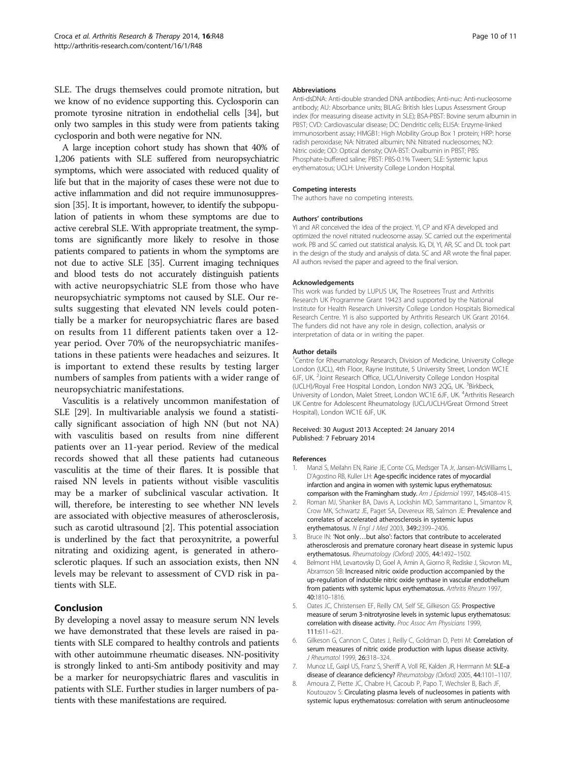<span id="page-9-0"></span>SLE. The drugs themselves could promote nitration, but we know of no evidence supporting this. Cyclosporin can promote tyrosine nitration in endothelial cells [[34](#page-10-0)], but only two samples in this study were from patients taking cyclosporin and both were negative for NN.

A large inception cohort study has shown that 40% of 1,206 patients with SLE suffered from neuropsychiatric symptoms, which were associated with reduced quality of life but that in the majority of cases these were not due to active inflammation and did not require immunosuppression [[35](#page-10-0)]. It is important, however, to identify the subpopulation of patients in whom these symptoms are due to active cerebral SLE. With appropriate treatment, the symptoms are significantly more likely to resolve in those patients compared to patients in whom the symptoms are not due to active SLE [[35](#page-10-0)]. Current imaging techniques and blood tests do not accurately distinguish patients with active neuropsychiatric SLE from those who have neuropsychiatric symptoms not caused by SLE. Our results suggesting that elevated NN levels could potentially be a marker for neuropsychiatric flares are based on results from 11 different patients taken over a 12 year period. Over 70% of the neuropsychiatric manifestations in these patients were headaches and seizures. It is important to extend these results by testing larger numbers of samples from patients with a wider range of neuropsychiatric manifestations.

Vasculitis is a relatively uncommon manifestation of SLE [\[29](#page-10-0)]. In multivariable analysis we found a statistically significant association of high NN (but not NA) with vasculitis based on results from nine different patients over an 11-year period. Review of the medical records showed that all these patients had cutaneous vasculitis at the time of their flares. It is possible that raised NN levels in patients without visible vasculitis may be a marker of subclinical vascular activation. It will, therefore, be interesting to see whether NN levels are associated with objective measures of atherosclerosis, such as carotid ultrasound [2]. This potential association is underlined by the fact that peroxynitrite, a powerful nitrating and oxidizing agent, is generated in atherosclerotic plaques. If such an association exists, then NN levels may be relevant to assessment of CVD risk in patients with SLE.

# Conclusion

By developing a novel assay to measure serum NN levels we have demonstrated that these levels are raised in patients with SLE compared to healthy controls and patients with other autoimmune rheumatic diseases. NN-positivity is strongly linked to anti-Sm antibody positivity and may be a marker for neuropsychiatric flares and vasculitis in patients with SLE. Further studies in larger numbers of patients with these manifestations are required.

#### **Abbreviations**

Anti-dsDNA: Anti-double stranded DNA antibodies; Anti-nuc: Anti-nucleosome antibody; AU: Absorbance units; BILAG: British Isles Lupus Assessment Group index (for measuring disease activity in SLE); BSA-PBST: Bovine serum albumin in PBST; CVD: Cardiovascular disease; DC: Dendritic cells; ELISA: Enzyme-linked immunosorbent assay; HMGB1: High Mobility Group Box 1 protein; HRP: horse radish peroxidase; NA: Nitrated albumin; NN: Nitrated nucleosomes; NO: Nitric oxide; OD: Optical density; OVA-BST: Ovalbumin in PBST; PBS: Phosphate-buffered saline; PBST: PBS-0.1% Tween; SLE: Systemic lupus erythematosus; UCLH: University College London Hospital.

#### Competing interests

The authors have no competing interests.

#### Authors' contributions

YI and AR conceived the idea of the project. YI, CP and KFA developed and optimized the novel nitrated nucleosome assay. SC carried out the experimental work. PB and SC carried out statistical analysis. IG, DI, YI, AR, SC and DL took part in the design of the study and analysis of data. SC and AR wrote the final paper. All authors revised the paper and agreed to the final version.

#### Acknowledgements

This work was funded by LUPUS UK, The Rosetrees Trust and Arthritis Research UK Programme Grant 19423 and supported by the National Institute for Health Research University College London Hospitals Biomedical Research Centre. YI is also supported by Arthritis Research UK Grant 20164. The funders did not have any role in design, collection, analysis or interpretation of data or in writing the paper.

#### Author details

<sup>1</sup> Centre for Rheumatology Research, Division of Medicine, University College London (UCL), 4th Floor, Rayne Institute, 5 University Street, London WC1E 6JF, UK. <sup>2</sup>Joint Research Office, UCL/University College London Hospital (UCLH)/Royal Free Hospital London, London NW3 2QG, UK. <sup>3</sup>Birkbeck University of London, Malet Street, London WC1E 6JF, UK. <sup>4</sup>Arthritis Research UK Centre for Adolescent Rheumatology (UCL/UCLH/Great Ormond Street Hospital), London WC1E 6JF, UK.

#### Received: 30 August 2013 Accepted: 24 January 2014 Published: 7 February 2014

#### References

- 1. Manzi S, Meilahn EN, Rairie JE, Conte CG, Medsger TA Jr, Jansen-McWilliams L, D'Agostino RB, Kuller LH: Age-specific incidence rates of myocardial infarction and angina in women with systemic lupus erythematosus: comparison with the Framingham study. Am J Epidemiol 1997, 145:408-415.
- 2. Roman MJ, Shanker BA, Davis A, Lockshin MD, Sammaritano L, Simantov R, Crow MK, Schwartz JE, Paget SA, Devereux RB, Salmon JE: Prevalence and correlates of accelerated atherosclerosis in systemic lupus erythematosus. N Engl J Med 2003, 349:2399–2406.
- 3. Bruce IN: 'Not only…but also': factors that contribute to accelerated atherosclerosis and premature coronary heart disease in systemic lupus erythematosus. Rheumatology (Oxford) 2005, 44:1492–1502.
- 4. Belmont HM, Levartovsky D, Goel A, Amin A, Giorno R, Rediske J, Skovron ML, Abramson SB: Increased nitric oxide production accompanied by the up-regulation of inducible nitric oxide synthase in vascular endothelium from patients with systemic lupus erythematosus. Arthritis Rheum 1997, 40:1810–1816.
- 5. Oates JC, Christensen EF, Reilly CM, Self SE, Gilkeson GS: Prospective measure of serum 3-nitrotyrosine levels in systemic lupus erythematosus: correlation with disease activity. Proc Assoc Am Physicians 1999, 111:611–621.
- 6. Gilkeson G, Cannon C, Oates J, Reilly C, Goldman D, Petri M: Correlation of serum measures of nitric oxide production with lupus disease activity. J Rheumatol 1999, 26:318–324.
- 7. Munoz LE, Gaipl US, Franz S, Sheriff A, Voll RE, Kalden JR, Herrmann M: SLE-a disease of clearance deficiency? Rheumatology (Oxford) 2005, 44:1101-1107.
- 8. Amoura Z, Piette JC, Chabre H, Cacoub P, Papo T, Wechsler B, Bach JF, Koutouzov S: Circulating plasma levels of nucleosomes in patients with systemic lupus erythematosus: correlation with serum antinucleosome